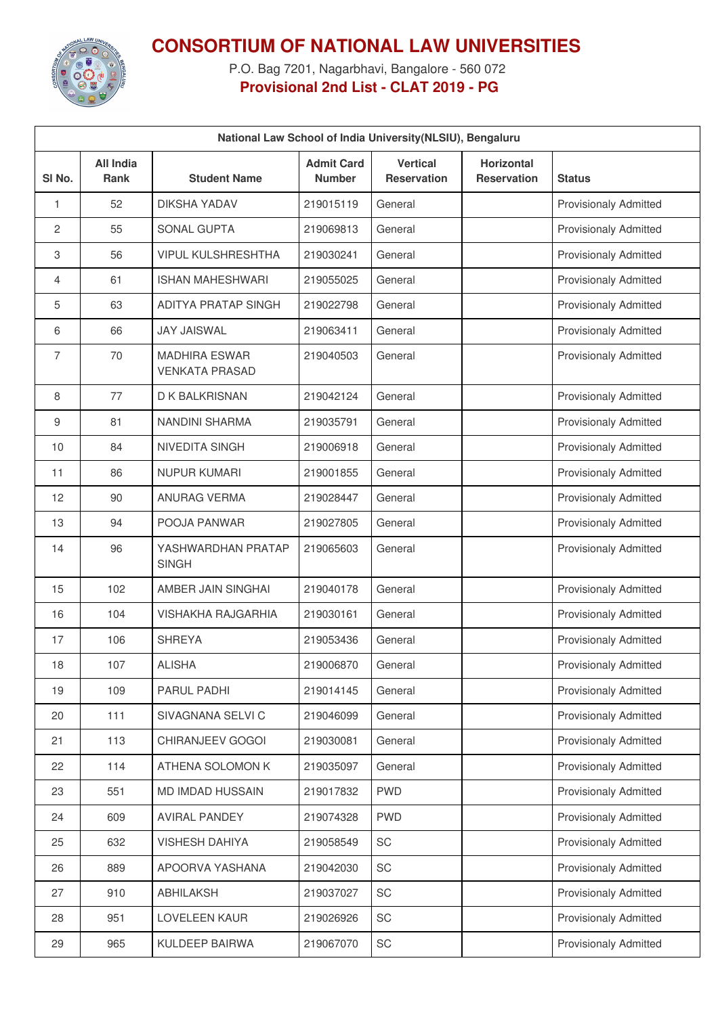

## **CONSORTIUM OF NATIONAL LAW UNIVERSITIES**

P.O. Bag 7201, Nagarbhavi, Bangalore - 560 072 **Provisional 2nd List - CLAT 2019 - PG**

| National Law School of India University (NLSIU), Bengaluru |                          |                                               |                                    |                                       |                                  |                              |  |
|------------------------------------------------------------|--------------------------|-----------------------------------------------|------------------------------------|---------------------------------------|----------------------------------|------------------------------|--|
| SI No.                                                     | <b>All India</b><br>Rank | <b>Student Name</b>                           | <b>Admit Card</b><br><b>Number</b> | <b>Vertical</b><br><b>Reservation</b> | Horizontal<br><b>Reservation</b> | <b>Status</b>                |  |
| 1                                                          | 52                       | <b>DIKSHA YADAV</b>                           | 219015119                          | General                               |                                  | <b>Provisionaly Admitted</b> |  |
| $\overline{c}$                                             | 55                       | SONAL GUPTA                                   | 219069813                          | General                               |                                  | <b>Provisionaly Admitted</b> |  |
| 3                                                          | 56                       | <b>VIPUL KULSHRESHTHA</b>                     | 219030241                          | General                               |                                  | <b>Provisionaly Admitted</b> |  |
| 4                                                          | 61                       | <b>ISHAN MAHESHWARI</b>                       | 219055025                          | General                               |                                  | <b>Provisionaly Admitted</b> |  |
| 5                                                          | 63                       | <b>ADITYA PRATAP SINGH</b>                    | 219022798                          | General                               |                                  | <b>Provisionaly Admitted</b> |  |
| 6                                                          | 66                       | <b>JAY JAISWAL</b>                            | 219063411                          | General                               |                                  | <b>Provisionaly Admitted</b> |  |
| 7                                                          | 70                       | <b>MADHIRA ESWAR</b><br><b>VENKATA PRASAD</b> | 219040503                          | General                               |                                  | <b>Provisionaly Admitted</b> |  |
| 8                                                          | 77                       | D K BALKRISNAN                                | 219042124                          | General                               |                                  | <b>Provisionaly Admitted</b> |  |
| 9                                                          | 81                       | NANDINI SHARMA                                | 219035791                          | General                               |                                  | <b>Provisionaly Admitted</b> |  |
| 10                                                         | 84                       | NIVEDITA SINGH                                | 219006918                          | General                               |                                  | <b>Provisionaly Admitted</b> |  |
| 11                                                         | 86                       | <b>NUPUR KUMARI</b>                           | 219001855                          | General                               |                                  | <b>Provisionaly Admitted</b> |  |
| 12                                                         | 90                       | ANURAG VERMA                                  | 219028447                          | General                               |                                  | Provisionaly Admitted        |  |
| 13                                                         | 94                       | POOJA PANWAR                                  | 219027805                          | General                               |                                  | <b>Provisionaly Admitted</b> |  |
| 14                                                         | 96                       | YASHWARDHAN PRATAP<br><b>SINGH</b>            | 219065603                          | General                               |                                  | <b>Provisionaly Admitted</b> |  |
| 15                                                         | 102                      | AMBER JAIN SINGHAI                            | 219040178                          | General                               |                                  | <b>Provisionaly Admitted</b> |  |
| 16                                                         | 104                      | <b>VISHAKHA RAJGARHIA</b>                     | 219030161                          | General                               |                                  | <b>Provisionaly Admitted</b> |  |
| 17                                                         | 106                      | <b>SHREYA</b>                                 | 219053436                          | General                               |                                  | <b>Provisionaly Admitted</b> |  |
| 18                                                         | 107                      | <b>ALISHA</b>                                 | 219006870                          | General                               |                                  | <b>Provisionaly Admitted</b> |  |
| 19                                                         | 109                      | PARUL PADHI                                   | 219014145                          | General                               |                                  | <b>Provisionaly Admitted</b> |  |
| 20                                                         | 111                      | SIVAGNANA SELVI C                             | 219046099                          | General                               |                                  | Provisionaly Admitted        |  |
| 21                                                         | 113                      | CHIRANJEEV GOGOI                              | 219030081                          | General                               |                                  | <b>Provisionaly Admitted</b> |  |
| 22                                                         | 114                      | ATHENA SOLOMON K                              | 219035097                          | General                               |                                  | <b>Provisionaly Admitted</b> |  |
| 23                                                         | 551                      | MD IMDAD HUSSAIN                              | 219017832                          | <b>PWD</b>                            |                                  | <b>Provisionaly Admitted</b> |  |
| 24                                                         | 609                      | <b>AVIRAL PANDEY</b>                          | 219074328                          | <b>PWD</b>                            |                                  | <b>Provisionaly Admitted</b> |  |
| 25                                                         | 632                      | <b>VISHESH DAHIYA</b>                         | 219058549                          | <b>SC</b>                             |                                  | <b>Provisionaly Admitted</b> |  |
| 26                                                         | 889                      | APOORVA YASHANA                               | 219042030                          | SC                                    |                                  | <b>Provisionaly Admitted</b> |  |
| 27                                                         | 910                      | ABHILAKSH                                     | 219037027                          | SC                                    |                                  | <b>Provisionaly Admitted</b> |  |
| 28                                                         | 951                      | LOVELEEN KAUR                                 | 219026926                          | SC                                    |                                  | Provisionaly Admitted        |  |
| 29                                                         | 965                      | KULDEEP BAIRWA                                | 219067070                          | SC                                    |                                  | <b>Provisionaly Admitted</b> |  |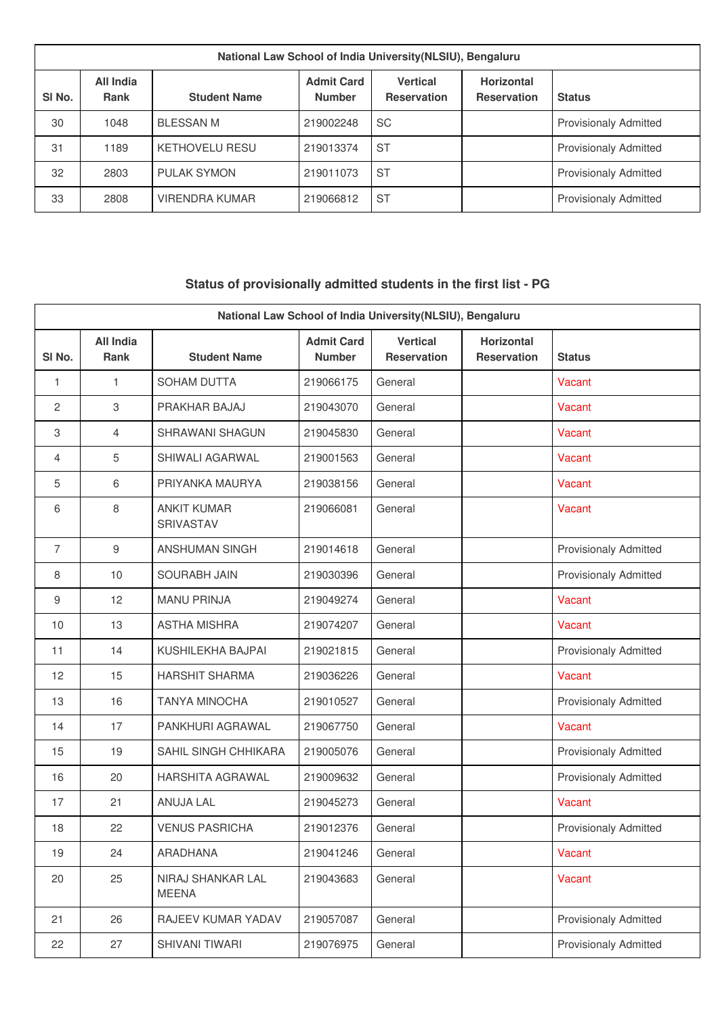| National Law School of India University (NLSIU), Bengaluru |                          |                       |                                    |                                       |                                         |                              |  |
|------------------------------------------------------------|--------------------------|-----------------------|------------------------------------|---------------------------------------|-----------------------------------------|------------------------------|--|
| SI <sub>No.</sub>                                          | All India<br><b>Rank</b> | <b>Student Name</b>   | <b>Admit Card</b><br><b>Number</b> | <b>Vertical</b><br><b>Reservation</b> | <b>Horizontal</b><br><b>Reservation</b> | <b>Status</b>                |  |
| 30                                                         | 1048                     | <b>BLESSAN M</b>      | 219002248                          | <b>SC</b>                             |                                         | <b>Provisionaly Admitted</b> |  |
| 31                                                         | 1189                     | <b>KETHOVELU RESU</b> | 219013374                          | <b>ST</b>                             |                                         | <b>Provisionaly Admitted</b> |  |
| 32                                                         | 2803                     | <b>PULAK SYMON</b>    | 219011073                          | <b>ST</b>                             |                                         | <b>Provisionaly Admitted</b> |  |
| 33                                                         | 2808                     | VIRENDRA KUMAR        | 219066812                          | <b>ST</b>                             |                                         | <b>Provisionaly Admitted</b> |  |

## **Status of provisionally admitted students in the first list - PG**

| National Law School of India University (NLSIU), Bengaluru |                          |                                   |                                    |                                       |                                         |                              |
|------------------------------------------------------------|--------------------------|-----------------------------------|------------------------------------|---------------------------------------|-----------------------------------------|------------------------------|
| SI No.                                                     | <b>All India</b><br>Rank | <b>Student Name</b>               | <b>Admit Card</b><br><b>Number</b> | <b>Vertical</b><br><b>Reservation</b> | <b>Horizontal</b><br><b>Reservation</b> | <b>Status</b>                |
| 1                                                          | 1                        | <b>SOHAM DUTTA</b>                | 219066175                          | General                               |                                         | Vacant                       |
| 2                                                          | 3                        | PRAKHAR BAJAJ                     | 219043070                          | General                               |                                         | Vacant                       |
| 3                                                          | 4                        | <b>SHRAWANI SHAGUN</b>            | 219045830                          | General                               |                                         | Vacant                       |
| $\overline{4}$                                             | 5                        | SHIWALI AGARWAL                   | 219001563                          | General                               |                                         | Vacant                       |
| 5                                                          | 6                        | PRIYANKA MAURYA                   | 219038156                          | General                               |                                         | Vacant                       |
| 6                                                          | 8                        | <b>ANKIT KUMAR</b><br>SRIVASTAV   | 219066081                          | General                               |                                         | Vacant                       |
| $\overline{7}$                                             | $\boldsymbol{9}$         | <b>ANSHUMAN SINGH</b>             | 219014618                          | General                               |                                         | <b>Provisionaly Admitted</b> |
| 8                                                          | 10                       | <b>SOURABH JAIN</b>               | 219030396                          | General                               |                                         | <b>Provisionaly Admitted</b> |
| 9                                                          | 12                       | <b>MANU PRINJA</b>                | 219049274                          | General                               |                                         | Vacant                       |
| 10                                                         | 13                       | <b>ASTHA MISHRA</b>               | 219074207                          | General                               |                                         | Vacant                       |
| 11                                                         | 14                       | KUSHILEKHA BAJPAI                 | 219021815                          | General                               |                                         | <b>Provisionaly Admitted</b> |
| 12                                                         | 15                       | <b>HARSHIT SHARMA</b>             | 219036226                          | General                               |                                         | Vacant                       |
| 13                                                         | 16                       | <b>TANYA MINOCHA</b>              | 219010527                          | General                               |                                         | <b>Provisionaly Admitted</b> |
| 14                                                         | 17                       | PANKHURI AGRAWAL                  | 219067750                          | General                               |                                         | Vacant                       |
| 15                                                         | 19                       | SAHIL SINGH CHHIKARA              | 219005076                          | General                               |                                         | <b>Provisionaly Admitted</b> |
| 16                                                         | 20                       | HARSHITA AGRAWAL                  | 219009632                          | General                               |                                         | <b>Provisionaly Admitted</b> |
| 17                                                         | 21                       | ANUJA LAL                         | 219045273                          | General                               |                                         | Vacant                       |
| 18                                                         | 22                       | <b>VENUS PASRICHA</b>             | 219012376                          | General                               |                                         | <b>Provisionaly Admitted</b> |
| 19                                                         | 24                       | ARADHANA                          | 219041246                          | General                               |                                         | Vacant                       |
| 20                                                         | 25                       | NIRAJ SHANKAR LAL<br><b>MEENA</b> | 219043683                          | General                               |                                         | Vacant                       |
| 21                                                         | 26                       | RAJEEV KUMAR YADAV                | 219057087                          | General                               |                                         | Provisionaly Admitted        |
| 22                                                         | 27                       | SHIVANI TIWARI                    | 219076975                          | General                               |                                         | Provisionaly Admitted        |